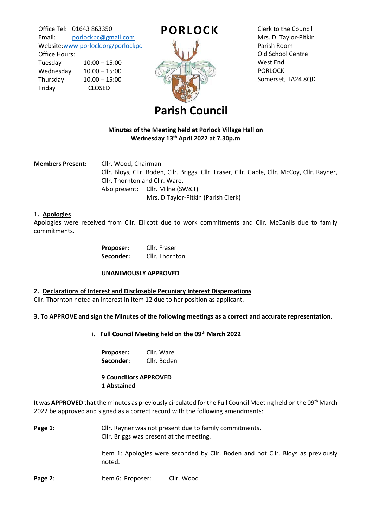Office Tel: 01643 863350 Email: [porlockpc@gmail.com](mailto:porlockpc@gmail.com) Website[:www.porlock.org/porlockpc](http://www.porlock.org/porlockpc)

Office Hours: Tuesday 10:00 – 15:00 Wednesday 10.00 – 15:00 Thursday 10.00 – 15:00 Friday CLOSED



Clerk to the Council Mrs. D. Taylor-Pitkin Parish Room Old School Centre West End PORLOCK Somerset, TA24 8QD

# **Parish Council**

# **Minutes of the Meeting held at Porlock Village Hall on Wednesday 13th April 2022 at 7.30p.m**

**Members Present:** Cllr. Wood, Chairman Cllr. Bloys, Cllr. Boden, Cllr. Briggs, Cllr. Fraser, Cllr. Gable, Cllr. McCoy, Cllr. Rayner, Cllr. Thornton and Cllr. Ware. Also present: Cllr. Milne (SW&T) Mrs. D Taylor-Pitkin (Parish Clerk)

# **1. Apologies**

Apologies were received from Cllr. Ellicott due to work commitments and Cllr. McCanlis due to family commitments.

| <b>Proposer:</b> | Cllr. Fraser   |
|------------------|----------------|
| Seconder:        | Cllr. Thornton |

### **UNANIMOUSLY APPROVED**

### **2. Declarations of Interest and Disclosable Pecuniary Interest Dispensations**

Cllr. Thornton noted an interest in Item 12 due to her position as applicant.

# **3. To APPROVE and sign the Minutes of the following meetings as a correct and accurate representation.**

**i. Full Council Meeting held on the 09th March 2022**

| Proposer: | Cllr. Ware  |
|-----------|-------------|
| Seconder: | Cllr. Boden |

# **9 Councillors APPROVED 1 Abstained**

It was **APPROVED** that the minutes as previously circulated for the Full Council Meeting held on the 09th March 2022 be approved and signed as a correct record with the following amendments:

Page 1: Cllr. Rayner was not present due to family commitments. Cllr. Briggs was present at the meeting.

> Item 1: Apologies were seconded by Cllr. Boden and not Cllr. Bloys as previously noted.

**Page 2:** Item 6: Proposer: Cllr. Wood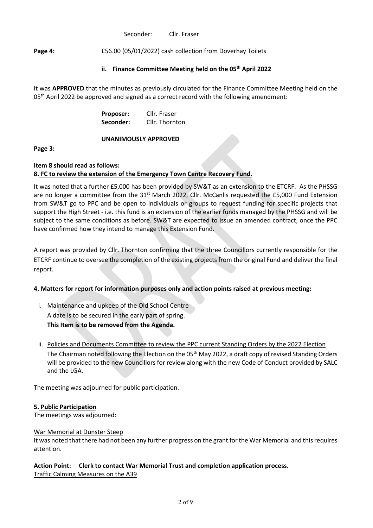Seconder: Cllr. Fraser

Page 4: £56.00 (05/01/2022) cash collection from Doverhay Toilets

# **ii. Finance Committee Meeting held on the 05th April 2022**

It was **APPROVED** that the minutes as previously circulated for the Finance Committee Meeting held on the 05<sup>th</sup> April 2022 be approved and signed as a correct record with the following amendment:

> **Proposer:** Cllr. Fraser **Seconder:** Cllr. Thornton

# **UNANIMOUSLY APPROVED**

**Page 3:** 

#### **Item 8 should read as follows: 8. FC to review the extension of the Emergency Town Centre Recovery Fund.**

It was noted that a further £5,000 has been provided by SW&T as an extension to the ETCRF. As the PHSSG are no longer a committee from the 31<sup>st</sup> March 2022, Cllr. McCanlis requested the £5,000 Fund Extension from SW&T go to PPC and be open to individuals or groups to request funding for specific projects that support the High Street - i.e. this fund is an extension of the earlier funds managed by the PHSSG and will be subject to the same conditions as before. SW&T are expected to issue an amended contract, once the PPC have confirmed how they intend to manage this Extension Fund.

A report was provided by Cllr. Thornton confirming that the three Councillors currently responsible for the ETCRF continue to oversee the completion of the existing projects from the original Fund and deliver the final report.

# **4. Matters for report for information purposes only and action points raised at previous meeting:**

- i. Maintenance and upkeep of the Old School Centre A date is to be secured in the early part of spring. **This Item is to be removed from the Agenda.**
- ii. Policies and Documents Committee to review the PPC current Standing Orders by the 2022 Election The Chairman noted following the Election on the 05<sup>th</sup> May 2022, a draft copy of revised Standing Orders will be provided to the new Councillors for review along with the new Code of Conduct provided by SALC and the LGA.

The meeting was adjourned for public participation.

# **5. Public Participation**

The meetings was adjourned:

### War Memorial at Dunster Steep

It was noted that there had not been any further progress on the grant for the War Memorial and this requires attention.

# **Action Point: Clerk to contact War Memorial Trust and completion application process.** Traffic Calming Measures on the A39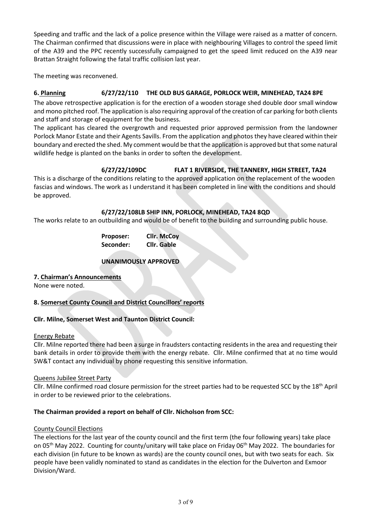Speeding and traffic and the lack of a police presence within the Village were raised as a matter of concern. The Chairman confirmed that discussions were in place with neighbouring Villages to control the speed limit of the A39 and the PPC recently successfully campaigned to get the speed limit reduced on the A39 near Brattan Straight following the fatal traffic collision last year.

The meeting was reconvened.

# **6. Planning 6/27/22/110 THE OLD BUS GARAGE, PORLOCK WEIR, MINEHEAD, TA24 8PE**

The above retrospective application is for the erection of a wooden storage shed double door small window and mono pitched roof. The application is also requiring approval of the creation of car parking for both clients and staff and storage of equipment for the business.

The applicant has cleared the overgrowth and requested prior approved permission from the landowner Porlock Manor Estate and their Agents Savills. From the application and photos they have cleared within their boundary and erected the shed. My comment would be that the application is approved but that some natural wildlife hedge is planted on the banks in order to soften the development.

# **6/27/22/109DC FLAT 1 RIVERSIDE, THE TANNERY, HIGH STREET, TA24**

This is a discharge of the conditions relating to the approved application on the replacement of the wooden fascias and windows. The work as I understand it has been completed in line with the conditions and should be approved.

# **6/27/22/108LB SHIP INN, PORLOCK, MINEHEAD, TA24 8QD**

The works relate to an outbuilding and would be of benefit to the building and surrounding public house.

| Proposer: | <b>Cllr. McCoy</b> |
|-----------|--------------------|
| Seconder: | Cllr. Gable        |

# **UNANIMOUSLY APPROVED**

### **7. Chairman's Announcements**

None were noted.

# **8. Somerset County Council and District Councillors' reports**

# **Cllr. Milne, Somerset West and Taunton District Council:**

### Energy Rebate

Cllr. Milne reported there had been a surge in fraudsters contacting residents in the area and requesting their bank details in order to provide them with the energy rebate. Cllr. Milne confirmed that at no time would SW&T contact any individual by phone requesting this sensitive information.

### Queens Jubilee Street Party

Cllr. Milne confirmed road closure permission for the street parties had to be requested SCC by the 18<sup>th</sup> April in order to be reviewed prior to the celebrations.

# **The Chairman provided a report on behalf of Cllr. Nicholson from SCC:**

### County Council Elections

The elections for the last year of the county council and the first term (the four following years) take place on 05<sup>th</sup> May 2022. Counting for county/unitary will take place on Friday 06<sup>th</sup> May 2022. The boundaries for each division (in future to be known as wards) are the county council ones, but with two seats for each. Six people have been validly nominated to stand as candidates in the election for the Dulverton and Exmoor Division/Ward.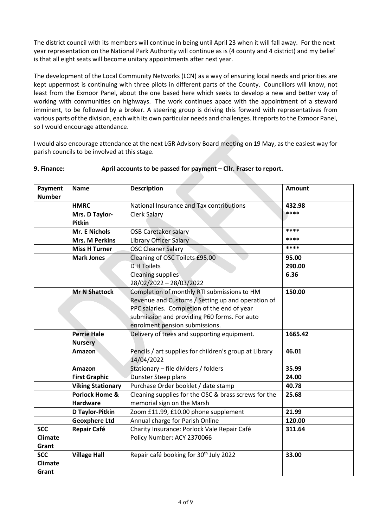The district council with its members will continue in being until April 23 when it will fall away. For the next year representation on the National Park Authority will continue as is (4 county and 4 district) and my belief is that all eight seats will become unitary appointments after next year.

The development of the Local Community Networks (LCN) as a way of ensuring local needs and priorities are kept uppermost is continuing with three pilots in different parts of the County. Councillors will know, not least from the Exmoor Panel, about the one based here which seeks to develop a new and better way of working with communities on highways. The work continues apace with the appointment of a steward imminent, to be followed by a broker. A steering group is driving this forward with representatives from various parts of the division, each with its own particular needs and challenges. It reports to the Exmoor Panel, so I would encourage attendance.

I would also encourage attendance at the next LGR Advisory Board meeting on 19 May, as the easiest way for parish councils to be involved at this stage.

| Payment<br><b>Number</b>              | <b>Name</b>                                  | <b>Description</b>                                                                                                                                                                                                                | <b>Amount</b>           |
|---------------------------------------|----------------------------------------------|-----------------------------------------------------------------------------------------------------------------------------------------------------------------------------------------------------------------------------------|-------------------------|
|                                       | <b>HMRC</b>                                  | National Insurance and Tax contributions                                                                                                                                                                                          | 432.98                  |
|                                       | Mrs. D Taylor-<br>Pitkin                     | Clerk Salary                                                                                                                                                                                                                      | ****                    |
|                                       | Mr. E Nichols                                | <b>OSB Caretaker salary</b>                                                                                                                                                                                                       | ****                    |
|                                       | <b>Mrs. M Perkins</b>                        | Library Officer Salary                                                                                                                                                                                                            | ****                    |
|                                       | <b>Miss H Turner</b>                         | <b>OSC Cleaner Salary</b>                                                                                                                                                                                                         | ****                    |
|                                       | <b>Mark Jones</b>                            | Cleaning of OSC Toilets £95.00<br><b>D</b> H Toilets<br><b>Cleaning supplies</b><br>28/02/2022 - 28/03/2022                                                                                                                       | 95.00<br>290.00<br>6.36 |
|                                       | <b>Mr N Shattock</b>                         | Completion of monthly RTI submissions to HM<br>Revenue and Customs / Setting up and operation of<br>PPC salaries. Completion of the end of year<br>submission and providing P60 forms. For auto<br>enrolment pension submissions. | 150.00                  |
|                                       | <b>Perrie Hale</b><br><b>Nursery</b>         | Delivery of trees and supporting equipment.                                                                                                                                                                                       | 1665.42                 |
|                                       | Amazon                                       | Pencils / art supplies for children's group at Library<br>14/04/2022                                                                                                                                                              | 46.01                   |
|                                       | Amazon                                       | Stationary - file dividers / folders                                                                                                                                                                                              | 35.99                   |
|                                       | <b>First Graphic</b>                         | Dunster Steep plans                                                                                                                                                                                                               | 24.00                   |
|                                       | <b>Viking Stationary</b>                     | Purchase Order booklet / date stamp                                                                                                                                                                                               | 40.78                   |
|                                       | <b>Porlock Home &amp;</b><br><b>Hardware</b> | Cleaning supplies for the OSC & brass screws for the<br>memorial sign on the Marsh                                                                                                                                                | 25.68                   |
|                                       | D Taylor-Pitkin                              | Zoom £11.99, £10.00 phone supplement                                                                                                                                                                                              | 21.99                   |
|                                       | <b>Geoxphere Ltd</b>                         | Annual charge for Parish Online                                                                                                                                                                                                   | 120.00                  |
| <b>SCC</b><br><b>Climate</b><br>Grant | <b>Repair Café</b>                           | Charity Insurance: Porlock Vale Repair Café<br>Policy Number: ACY 2370066                                                                                                                                                         | 311.64                  |
| <b>SCC</b><br>Climate<br>Grant        | <b>Village Hall</b>                          | Repair café booking for 30 <sup>th</sup> July 2022                                                                                                                                                                                | 33.00                   |

### **9. Finance: April accounts to be passed for payment – Cllr. Fraser to report.**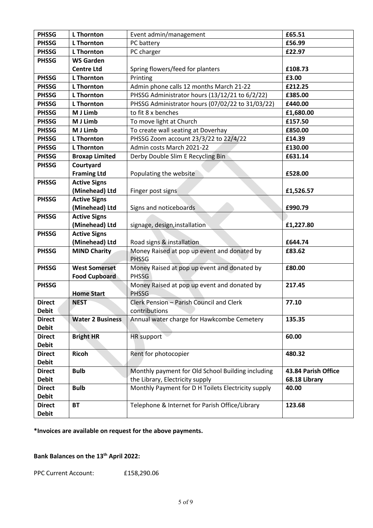| <b>PHSSG</b>                  | <b>L</b> Thornton       | Event admin/management                             | £65.51                               |
|-------------------------------|-------------------------|----------------------------------------------------|--------------------------------------|
| <b>PHSSG</b>                  | <b>L</b> Thornton       | PC battery                                         | £56.99                               |
| <b>PHSSG</b>                  | <b>L</b> Thornton       | PC charger                                         | £22.97                               |
| <b>PHSSG</b>                  | <b>WS Garden</b>        |                                                    |                                      |
|                               | <b>Centre Ltd</b>       | Spring flowers/feed for planters                   | £108.73                              |
| <b>PHSSG</b>                  | <b>L</b> Thornton       | Printing                                           | £3.00                                |
| <b>PHSSG</b>                  | <b>L</b> Thornton       | Admin phone calls 12 months March 21-22            | £212.25                              |
| <b>PHSSG</b>                  | <b>L</b> Thornton       | PHSSG Administrator hours (13/12/21 to 6/2/22)     | £385.00                              |
| <b>PHSSG</b>                  | <b>L</b> Thornton       | PHSSG Administrator hours (07/02/22 to 31/03/22)   | £440.00                              |
| <b>PHSSG</b>                  | M J Limb                | to fit 8 x benches                                 | £1,680.00                            |
| <b>PHSSG</b>                  | M J Limb                | To move light at Church                            | £157.50                              |
| <b>PHSSG</b>                  | M J Limb                | To create wall seating at Doverhay                 | £850.00                              |
| <b>PHSSG</b>                  | <b>L</b> Thornton       | PHSSG Zoom account 23/3/22 to 22/4/22              | £14.39                               |
| <b>PHSSG</b>                  | <b>L</b> Thornton       | Admin costs March 2021-22                          | £130.00                              |
| <b>PHSSG</b>                  | <b>Broxap Limited</b>   | Derby Double Slim E Recycling Bin                  | £631.14                              |
| <b>PHSSG</b>                  | Courtyard               |                                                    |                                      |
|                               | <b>Framing Ltd</b>      | Populating the website                             | £528.00                              |
| <b>PHSSG</b>                  | <b>Active Signs</b>     |                                                    |                                      |
|                               | (Minehead) Ltd          | Finger post signs                                  | £1,526.57                            |
| <b>PHSSG</b>                  | <b>Active Signs</b>     |                                                    |                                      |
|                               | (Minehead) Ltd          | Signs and noticeboards                             | £990.79                              |
| <b>PHSSG</b>                  | <b>Active Signs</b>     |                                                    |                                      |
|                               | (Minehead) Ltd          | signage, design, installation                      | £1,227.80                            |
| <b>PHSSG</b>                  | <b>Active Signs</b>     |                                                    |                                      |
|                               | (Minehead) Ltd          | Road signs & installation                          | £644.74                              |
| <b>PHSSG</b>                  | <b>MIND Charity</b>     | Money Raised at pop up event and donated by        | £83.62                               |
|                               |                         | <b>PHSSG</b>                                       |                                      |
| <b>PHSSG</b>                  | <b>West Somerset</b>    | Money Raised at pop up event and donated by        | £80.00                               |
|                               | <b>Food Cupboard</b>    | <b>PHSSG</b>                                       |                                      |
| <b>PHSSG</b>                  |                         | Money Raised at pop up event and donated by        | 217.45                               |
|                               | <b>Home Start</b>       | <b>PHSSG</b>                                       |                                      |
| <b>Direct</b>                 | <b>NEST</b>             | Clerk Pension - Parish Council and Clerk           | 77.10                                |
| <b>Debit</b>                  |                         | contributions                                      |                                      |
| <b>Direct</b>                 | <b>Water 2 Business</b> | Annual water charge for Hawkcombe Cemetery         | 135.35                               |
| <b>Debit</b>                  |                         |                                                    |                                      |
| <b>Direct</b><br><b>Debit</b> | <b>Bright HR</b>        | <b>HR</b> support                                  | 60.00                                |
|                               |                         |                                                    |                                      |
| <b>Direct</b><br><b>Debit</b> | <b>Ricoh</b>            | Rent for photocopier                               | 480.32                               |
| <b>Direct</b>                 |                         | Monthly payment for Old School Building including  |                                      |
| <b>Debit</b>                  | <b>Bulb</b>             | the Library, Electricity supply                    | 43.84 Parish Office<br>68.18 Library |
| <b>Direct</b>                 | <b>Bulb</b>             | Monthly Payment for D H Toilets Electricity supply | 40.00                                |
| <b>Debit</b>                  |                         |                                                    |                                      |
| <b>Direct</b>                 | <b>BT</b>               | Telephone & Internet for Parish Office/Library     | 123.68                               |
| <b>Debit</b>                  |                         |                                                    |                                      |

**\*Invoices are available on request for the above payments.**

# **Bank Balances on the 13th April 2022:**

PPC Current Account: £158,290.06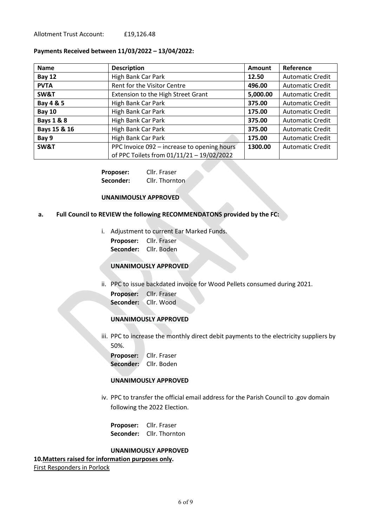Allotment Trust Account: £19,126.48

### **Payments Received between 11/03/2022 – 13/04/2022:**

| <b>Name</b>           | <b>Description</b>                          | Amount   | Reference               |
|-----------------------|---------------------------------------------|----------|-------------------------|
| <b>Bay 12</b>         | High Bank Car Park                          | 12.50    | <b>Automatic Credit</b> |
| <b>PVTA</b>           | Rent for the Visitor Centre                 | 496.00   | <b>Automatic Credit</b> |
| SW&T                  | Extension to the High Street Grant          | 5,000.00 | <b>Automatic Credit</b> |
| Bay 4 & 5             | High Bank Car Park                          | 375.00   | <b>Automatic Credit</b> |
| <b>Bay 10</b>         | High Bank Car Park                          | 175.00   | <b>Automatic Credit</b> |
| <b>Bays 1 &amp; 8</b> | High Bank Car Park                          | 375.00   | <b>Automatic Credit</b> |
| Bays 15 & 16          | High Bank Car Park                          | 375.00   | <b>Automatic Credit</b> |
| Bay 9                 | High Bank Car Park                          | 175.00   | <b>Automatic Credit</b> |
| SW&T                  | PPC Invoice 092 - increase to opening hours | 1300.00  | <b>Automatic Credit</b> |
|                       | of PPC Toilets from 01/11/21 - 19/02/2022   |          |                         |

**Proposer:** Cllr. Fraser Seconder: Cllr. Thornton

#### **UNANIMOUSLY APPROVED**

### **a. Full Council to REVIEW the following RECOMMENDATONS provided by the FC:**

- i. Adjustment to current Ear Marked Funds.
	- **Proposer:** Cllr. Fraser **Seconder:** Cllr. Boden
	-

# **UNANIMOUSLY APPROVED**

ii. PPC to issue backdated invoice for Wood Pellets consumed during 2021.

**Proposer:** Cllr. Fraser **Seconder:** Cllr. Wood

### **UNANIMOUSLY APPROVED**

iii. PPC to increase the monthly direct debit payments to the electricity suppliers by 50%.

**Proposer:** Cllr. Fraser **Seconder:** Cllr. Boden

### **UNANIMOUSLY APPROVED**

iv. PPC to transfer the official email address for the Parish Council to .gov domain following the 2022 Election.

**Proposer:** Cllr. Fraser **Seconder:** Cllr. Thornton

### **UNANIMOUSLY APPROVED**

### **10.Matters raised for information purposes only.**

First Responders in Porlock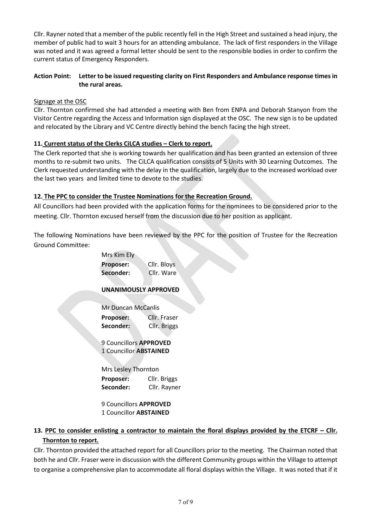Cllr. Rayner noted that a member of the public recently fell in the High Street and sustained a head injury, the member of public had to wait 3 hours for an attending ambulance. The lack of first responders in the Village was noted and it was agreed a formal letter should be sent to the responsible bodies in order to confirm the current status of Emergency Responders.

# **Action Point: Letter to be issued requesting clarity on First Responders and Ambulance response times in the rural areas.**

# Signage at the OSC

Cllr. Thornton confirmed she had attended a meeting with Ben from ENPA and Deborah Stanyon from the Visitor Centre regarding the Access and Information sign displayed at the OSC. The new sign is to be updated and relocated by the Library and VC Centre directly behind the bench facing the high street.

# **11. Current status of the Clerks CiLCA studies – Clerk to report.**

The Clerk reported that she is working towards her qualification and has been granted an extension of three months to re-submit two units. The CiLCA qualification consists of 5 Units with 30 Learning Outcomes. The Clerk requested understanding with the delay in the qualification, largely due to the increased workload over the last two years and limited time to devote to the studies.

# **12. The PPC to consider the Trustee Nominations for the Recreation Ground.**

All Councillors had been provided with the application forms for the nominees to be considered prior to the meeting. Cllr. Thornton excused herself from the discussion due to her position as applicant.

The following Nominations have been reviewed by the PPC for the position of Trustee for the Recreation Ground Committee:

| Cllr. Bloys                   |  |
|-------------------------------|--|
| Cllr. Ware                    |  |
| <b>UNANIMOUSLY APPROVED</b>   |  |
|                               |  |
| Mr Duncan McCanlis            |  |
| Cllr. Fraser                  |  |
| Cllr. Briggs                  |  |
| 9 Councillors <b>APPROVED</b> |  |
| 1 Councillor <b>ABSTAINED</b> |  |
| Mrs Lesley Thornton           |  |
| Cllr. Briggs                  |  |
| Cllr. Rayner                  |  |
|                               |  |

9 Councillors **APPROVED** 1 Councillor **ABSTAINED**

# **13. PPC to consider enlisting a contractor to maintain the floral displays provided by the ETCRF – Cllr. Thornton to report.**

Cllr. Thornton provided the attached report for all Councillors prior to the meeting. The Chairman noted that both he and Cllr. Fraser were in discussion with the different Community groups within the Village to attempt to organise a comprehensive plan to accommodate all floral displays within the Village. It was noted that if it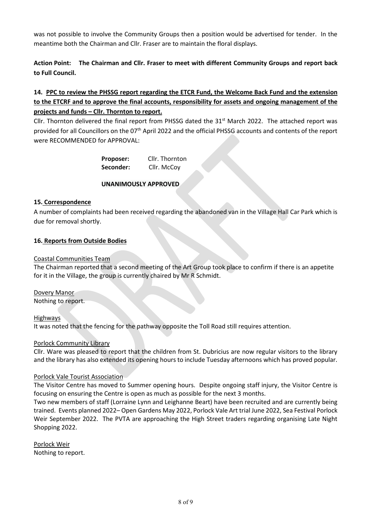was not possible to involve the Community Groups then a position would be advertised for tender. In the meantime both the Chairman and Cllr. Fraser are to maintain the floral displays.

**Action Point: The Chairman and Cllr. Fraser to meet with different Community Groups and report back to Full Council.**

# **14. PPC to review the PHSSG report regarding the ETCR Fund, the Welcome Back Fund and the extension to the ETCRF and to approve the final accounts, responsibility for assets and ongoing management of the projects and funds – Cllr. Thornton to report.**

Cllr. Thornton delivered the final report from PHSSG dated the 31<sup>st</sup> March 2022. The attached report was provided for all Councillors on the 07<sup>th</sup> April 2022 and the official PHSSG accounts and contents of the report were RECOMMENDED for APPROVAL:

> **Proposer:** Cllr. Thornton Seconder: Cllr. McCoy

# **UNANIMOUSLY APPROVED**

# **15. Correspondence**

A number of complaints had been received regarding the abandoned van in the Village Hall Car Park which is due for removal shortly.

# **16. Reports from Outside Bodies**

# Coastal Communities Team

The Chairman reported that a second meeting of the Art Group took place to confirm if there is an appetite for it in the Village, the group is currently chaired by Mr R Schmidt.

Dovery Manor

Nothing to report.

Highways

It was noted that the fencing for the pathway opposite the Toll Road still requires attention.

### Porlock Community Library

Cllr. Ware was pleased to report that the children from St. Dubricius are now regular visitors to the library and the library has also extended its opening hours to include Tuesday afternoons which has proved popular.

### Porlock Vale Tourist Association

The Visitor Centre has moved to Summer opening hours. Despite ongoing staff injury, the Visitor Centre is focusing on ensuring the Centre is open as much as possible for the next 3 months.

Two new members of staff (Lorraine Lynn and Leighanne Beart) have been recruited and are currently being trained. Events planned 2022– Open Gardens May 2022, Porlock Vale Art trial June 2022, Sea Festival Porlock Weir September 2022. The PVTA are approaching the High Street traders regarding organising Late Night Shopping 2022.

Porlock Weir Nothing to report.